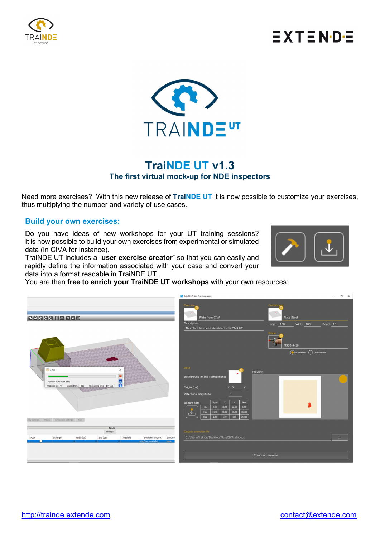

## $\equiv$  X T  $\equiv$  N·D· $\equiv$



## TraiNDE UT v1.3 The first virtual mock-up for NDE inspectors

Need more exercises? With this new release of TraiNDE UT it is now possible to customize your exercises, thus multiplying the number and variety of use cases.

#### Build your own exercises:

Do you have ideas of new workshops for your UT training sessions? It is now possible to build your own exercises from experimental or simulated data (in CIVA for instance).

TraiNDE UT includes a "user exercise creator" so that you can easily and rapidly define the information associated with your case and convert your data into a format readable in TraiNDE UT.

You are then free to enrich your TraiNDE UT workshops with your own resources: